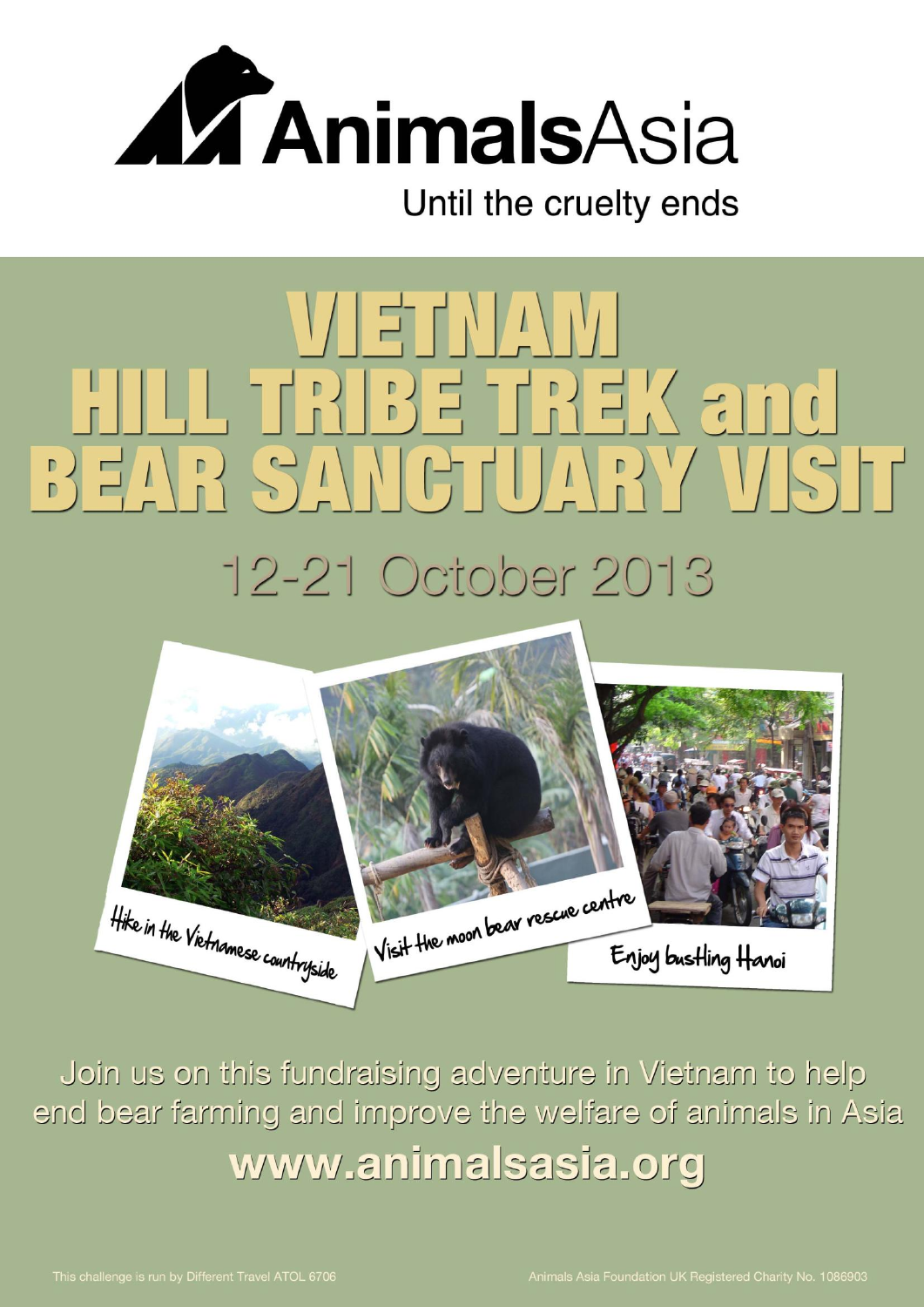

# $V$   $\parallel$   $\equiv$   $\parallel$   $\parallel$   $\parallel$   $\parallel$   $\parallel$   $\parallel$   $\parallel$ L TRIBE TREK and VIST  $\Box$  $\sqrt{1}$ 12-21 October 2013



Join us on this fundraising adventure in Vietnam to help end bear farming and improve the welfare of animals in Asia www.animalsasia.org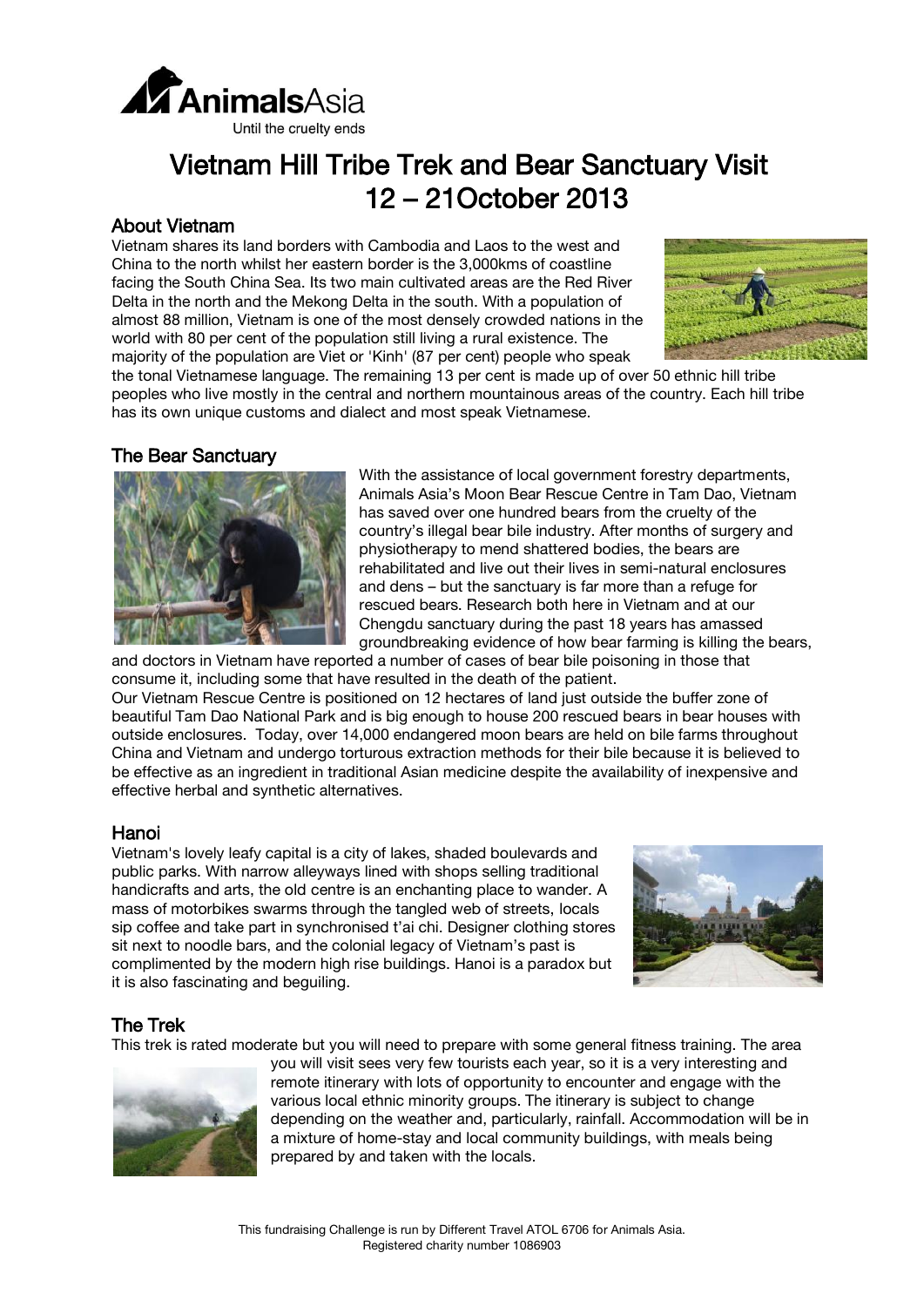

# Vietnam Hill Tribe Trek and Bear Sanctuary Visit 12 – 21October 2013

# About Vietnam

Vietnam shares its land borders with Cambodia and Laos to the west and China to the north whilst her eastern border is the 3,000kms of coastline facing the South China Sea. Its two main cultivated areas are the Red River Delta in the north and the Mekong Delta in the south. With a population of almost 88 million, Vietnam is one of the most densely crowded nations in the world with 80 per cent of the population still living a rural existence. The majority of the population are Viet or 'Kinh' (87 per cent) people who speak



the tonal Vietnamese language. The remaining 13 per cent is made up of over 50 ethnic hill tribe peoples who live mostly in the central and northern mountainous areas of the country. Each hill tribe has its own unique customs and dialect and most speak Vietnamese.

### The Bear Sanctuary



With the assistance of local government forestry departments, Animals Asia's Moon Bear Rescue Centre in Tam Dao, Vietnam has saved over one hundred bears from the cruelty of the country's illegal bear bile industry. After months of surgery and physiotherapy to mend shattered bodies, the bears are rehabilitated and live out their lives in semi-natural enclosures and dens – but the sanctuary is far more than a refuge for rescued bears. Research both here in Vietnam and at our Chengdu sanctuary during the past 18 years has amassed groundbreaking evidence of how bear farming is killing the bears,

and doctors in Vietnam have reported a number of cases of bear bile poisoning in those that consume it, including some that have resulted in the death of the patient. Our Vietnam Rescue Centre is positioned on 12 hectares of land just outside the buffer zone of beautiful Tam Dao National Park and is big enough to house 200 rescued bears in bear houses with outside enclosures. Today, over 14,000 endangered moon bears are held on bile farms throughout China and Vietnam and undergo torturous extraction methods for their bile because it is believed to be effective as an ingredient in traditional Asian medicine despite the availability of inexpensive and effective herbal and synthetic alternatives.

## Hanoi

Vietnam's lovely leafy capital is a city of lakes, shaded boulevards and public parks. With narrow alleyways lined with shops selling traditional handicrafts and arts, the old centre is an enchanting place to wander. A mass of motorbikes swarms through the tangled web of streets, locals sip coffee and take part in synchronised t'ai chi. Designer clothing stores sit next to noodle bars, and the colonial legacy of Vietnam's past is complimented by the modern high rise buildings. Hanoi is a paradox but it is also fascinating and beguiling.



# The Trek

This trek is rated moderate but you will need to prepare with some general fitness training. The area



you will visit sees very few tourists each year, so it is a very interesting and remote itinerary with lots of opportunity to encounter and engage with the various local ethnic minority groups. The itinerary is subject to change depending on the weather and, particularly, rainfall. Accommodation will be in a mixture of home-stay and local community buildings, with meals being prepared by and taken with the locals.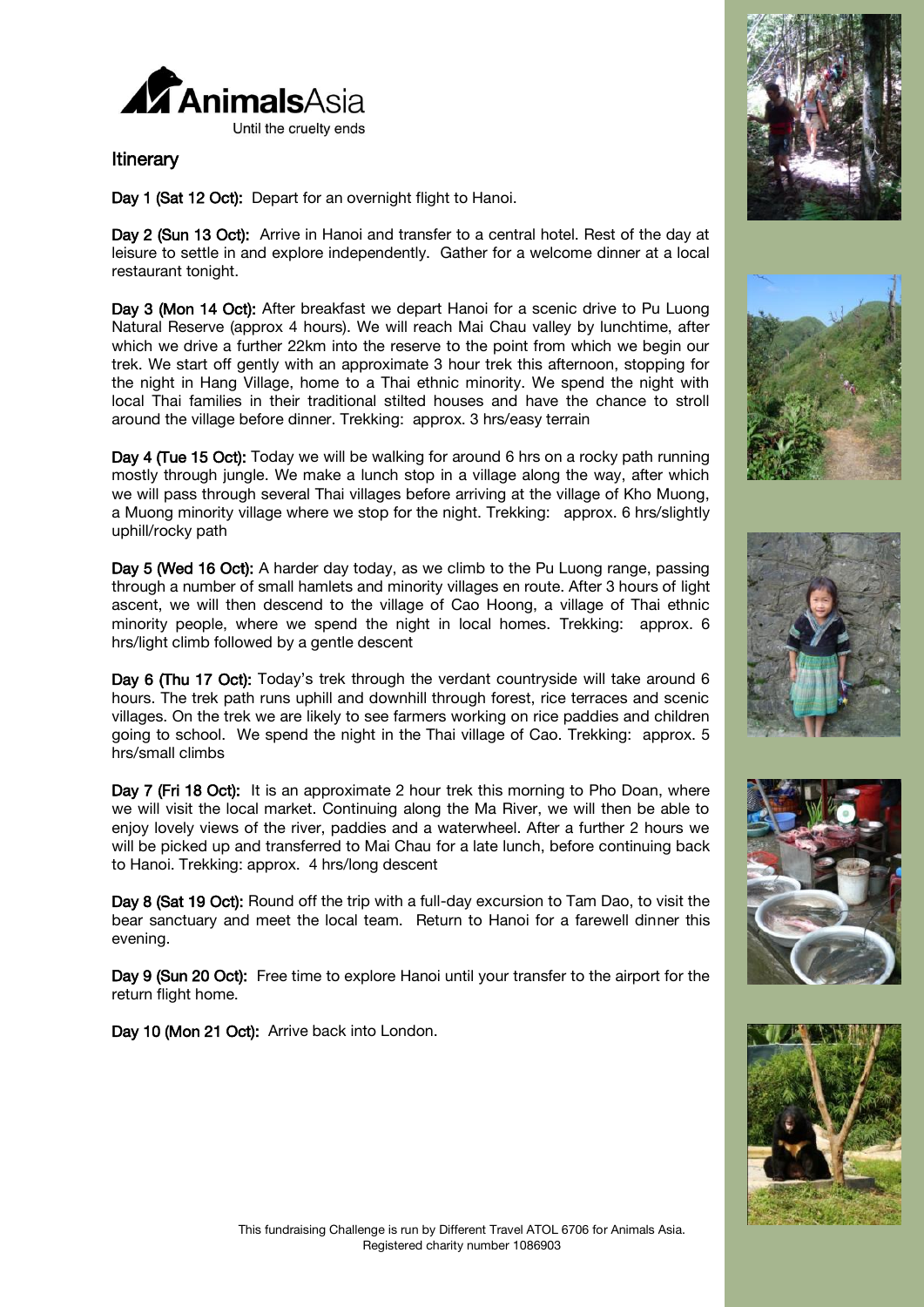

## **Itinerary**

Day 1 (Sat 12 Oct): Depart for an overnight flight to Hanoi.

Day 2 (Sun 13 Oct): Arrive in Hanoi and transfer to a central hotel. Rest of the day at leisure to settle in and explore independently. Gather for a welcome dinner at a local restaurant tonight.

Day 3 (Mon 14 Oct): After breakfast we depart Hanoi for a scenic drive to Pu Luong Natural Reserve (approx 4 hours). We will reach Mai Chau valley by lunchtime, after which we drive a further 22km into the reserve to the point from which we begin our trek. We start off gently with an approximate 3 hour trek this afternoon, stopping for the night in Hang Village, home to a Thai ethnic minority. We spend the night with local Thai families in their traditional stilted houses and have the chance to stroll around the village before dinner. *Trekking: approx. 3 hrs/easy terrain*

Day 4 (Tue 15 Oct): Today we will be walking for around 6 hrs on a rocky path running mostly through jungle. We make a lunch stop in a village along the way, after which we will pass through several Thai villages before arriving at the village of Kho Muong, a Muong minority village where we stop for the night. *Trekking: approx. 6 hrs/slightly uphill/rocky path*

Day 5 (Wed 16 Oct): A harder day today, as we climb to the Pu Luong range, passing through a number of small hamlets and minority villages en route. After 3 hours of light ascent, we will then descend to the village of Cao Hoong, a village of Thai ethnic minority people, where we spend the night in local homes. *Trekking: approx. 6 hrs/light climb followed by a gentle descent*

Day 6 (Thu 17 Oct): Today's trek through the verdant countryside will take around 6 hours. The trek path runs uphill and downhill through forest, rice terraces and scenic villages. On the trek we are likely to see farmers working on rice paddies and children going to school. We spend the night in the Thai village of Cao. *Trekking: approx. 5 hrs/small climbs* 

Day 7 (Fri 18 Oct): It is an approximate 2 hour trek this morning to Pho Doan, where we will visit the local market. Continuing along the Ma River, we will then be able to enjoy lovely views of the river, paddies and a waterwheel. After a further 2 hours we will be picked up and transferred to Mai Chau for a late lunch, before continuing back to Hanoi. *Trekking: approx. 4 hrs/long descent*

Day 8 (Sat 19 Oct): Round off the trip with a full-day excursion to Tam Dao, to visit the bear sanctuary and meet the local team. Return to Hanoi for a farewell dinner this evening.

Day 9 (Sun 20 Oct): Free time to explore Hanoi until your transfer to the airport for the return flight home.

Day 10 (Mon 21 Oct): Arrive back into London.









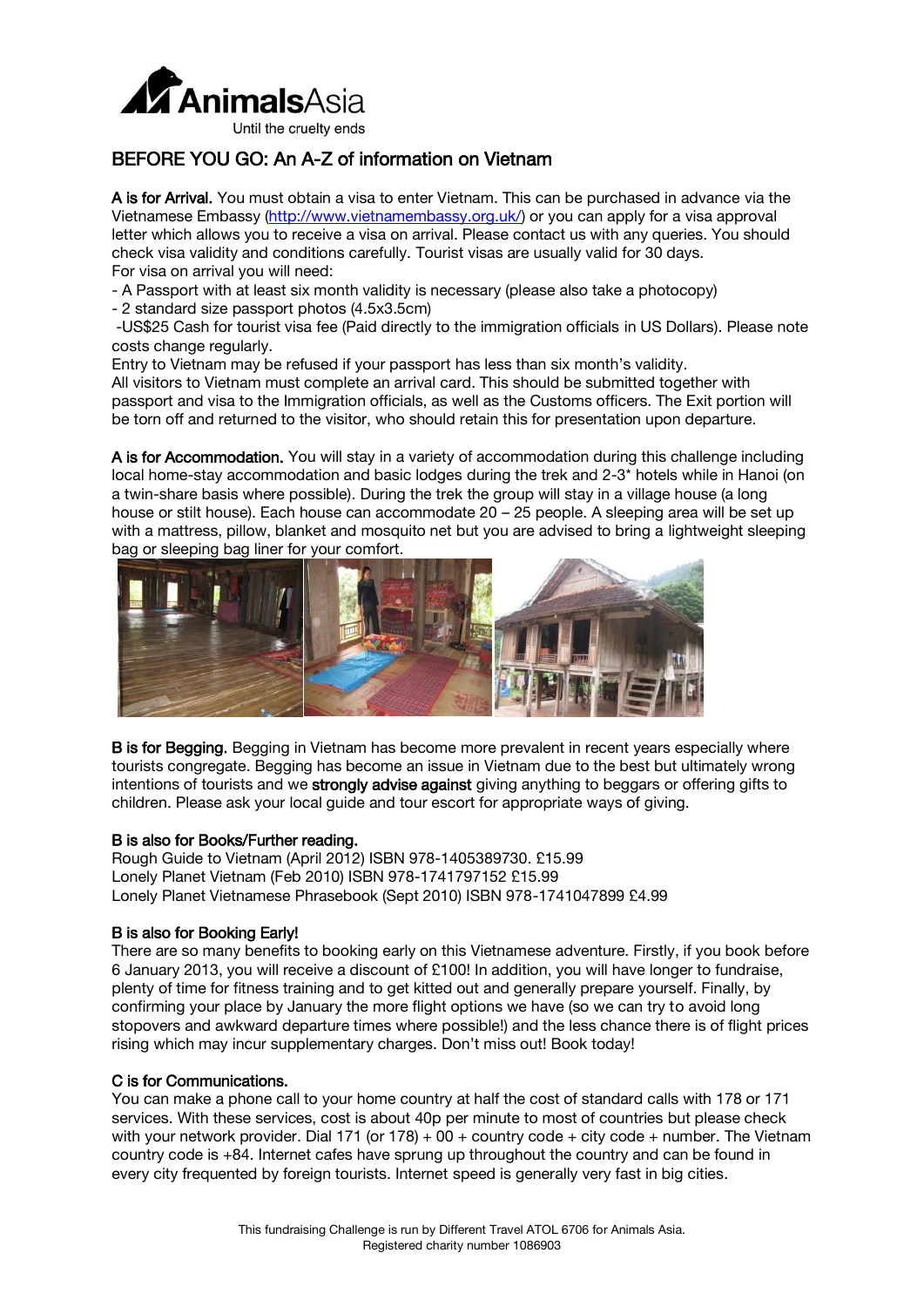

# BEFORE YOU GO: An A-Z of information on Vietnam

A is for Arrival. You must obtain a visa to enter Vietnam. This can be purchased in advance via the Vietnamese Embassy [\(http://www.vietnamembassy.org.uk/\)](http://www.vietnamembassy.org.uk/) or you can apply for a visa approval letter which allows you to receive a visa on arrival. Please contact us with any queries. You should check visa validity and conditions carefully. Tourist visas are usually valid for 30 days. For visa on arrival you will need:

- A Passport with at least six month validity is necessary (please also take a photocopy)
- 2 standard size passport photos (4.5x3.5cm)

-US\$25 Cash for tourist visa fee (Paid directly to the immigration officials in US Dollars). *Please note costs change regularly.*

Entry to Vietnam may be refused if your passport has less than six month's validity. All visitors to Vietnam must complete an arrival card. This should be submitted together with passport and visa to the Immigration officials, as well as the Customs officers. The Exit portion will be torn off and returned to the visitor, who should retain this for presentation upon departure.

A is for Accommodation. You will stay in a variety of accommodation during this challenge including local home-stay accommodation and basic lodges during the trek and 2-3\* hotels while in Hanoi (on a twin-share basis where possible). During the trek the group will stay in a village house (a long house or stilt house). Each house can accommodate 20 – 25 people. A sleeping area will be set up with a mattress, pillow, blanket and mosquito net but you are advised to bring a lightweight sleeping bag or sleeping bag liner for your comfort.



**B** is for Begging. Begging in Vietnam has become more prevalent in recent years especially where tourists congregate. Begging has become an issue in Vietnam due to the best but ultimately wrong intentions of tourists and we strongly advise against giving anything to beggars or offering gifts to children. Please ask your local guide and tour escort for appropriate ways of giving.

#### B is also for Books/Further reading.

Rough Guide to Vietnam (April 2012) ISBN 978-1405389730. £15.99 Lonely Planet Vietnam (Feb 2010) ISBN 978-1741797152 £15.99 Lonely Planet Vietnamese Phrasebook (Sept 2010) ISBN 978-1741047899 £4.99

#### B is also for Booking Early!

There are so many benefits to booking early on this Vietnamese adventure. Firstly, if you book before 6 January 2013, you will receive a discount of £100! In addition, you will have longer to fundraise, plenty of time for fitness training and to get kitted out and generally prepare yourself. Finally, by confirming your place by January the more flight options we have (so we can try to avoid long stopovers and awkward departure times where possible!) and the less chance there is of flight prices rising which may incur supplementary charges. Don't miss out! Book today!

#### C is for Communications.

You can make a phone call to your home country at half the cost of standard calls with 178 or 171 services. With these services, cost is about 40p per minute to most of countries but please check with your network provider. Dial 171 (or 178) + 00 + country code + city code + number. The Vietnam country code is +84. Internet cafes have sprung up throughout the country and can be found in every city frequented by foreign tourists. Internet speed is generally very fast in big cities.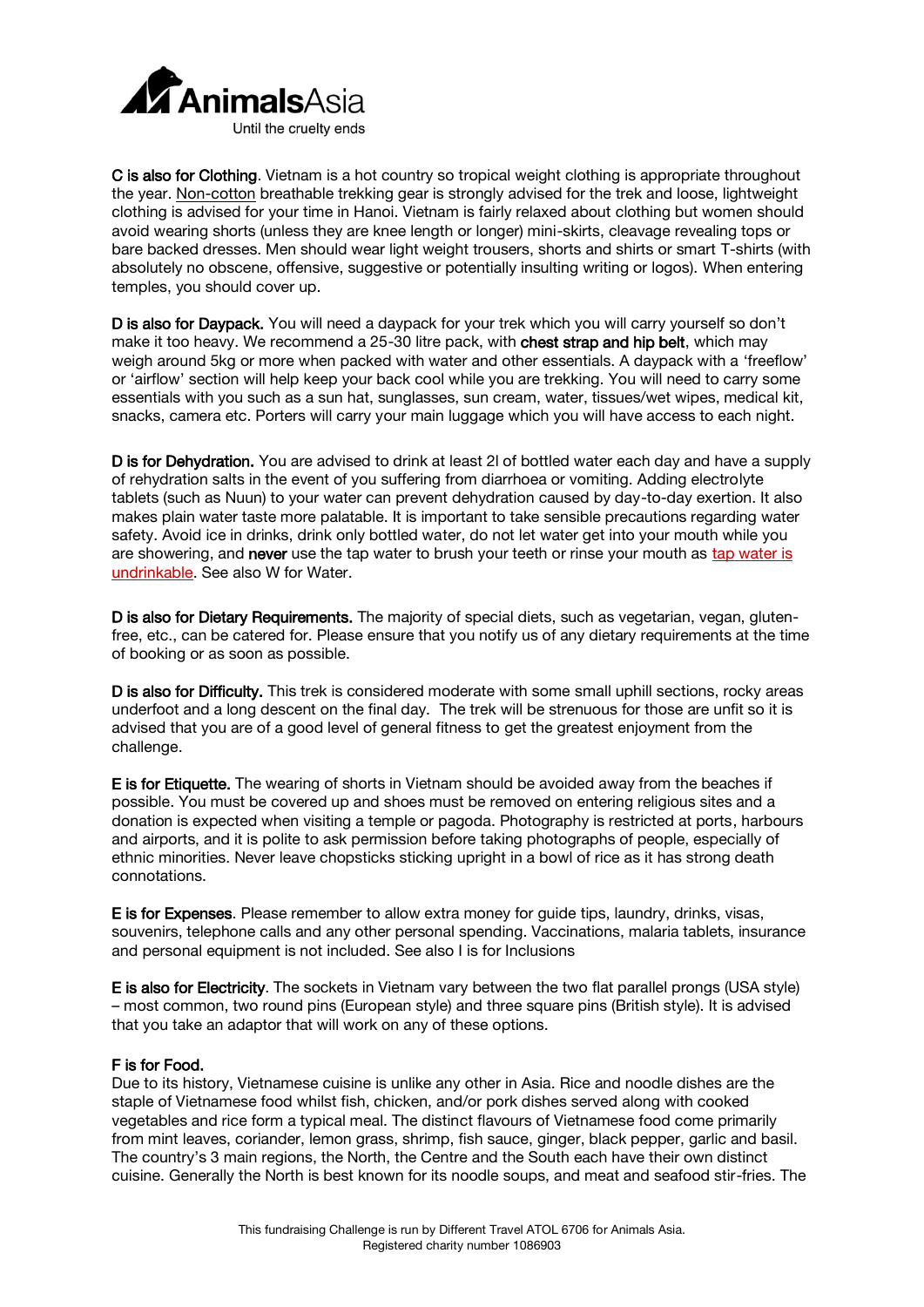

C is also for Clothing. Vietnam is a hot country so tropical weight clothing is appropriate throughout the year. Non-cotton breathable trekking gear is strongly advised for the trek and loose, lightweight clothing is advised for your time in Hanoi. Vietnam is fairly relaxed about clothing but women should avoid wearing shorts (unless they are knee length or longer) mini-skirts, cleavage revealing tops or bare backed dresses. Men should wear light weight trousers, shorts and shirts or smart T-shirts (with absolutely no obscene, offensive, suggestive or potentially insulting writing or logos). When entering temples, you should cover up.

D is also for Daypack. You will need a daypack for your trek which you will carry yourself so don't make it too heavy. We recommend a 25-30 litre pack, with chest strap and hip belt, which may weigh around 5kg or more when packed with water and other essentials. A daypack with a 'freeflow' or 'airflow' section will help keep your back cool while you are trekking. You will need to carry some essentials with you such as a sun hat, sunglasses, sun cream, water, tissues/wet wipes, medical kit, snacks, camera etc. Porters will carry your main luggage which you will have access to each night.

D is for Dehydration. You are advised to drink at least 2l of bottled water each day and have a supply of rehydration salts in the event of you suffering from diarrhoea or vomiting. Adding electrolyte tablets (such as Nuun) to your water can prevent dehydration caused by day-to-day exertion. It also makes plain water taste more palatable. It is important to take sensible precautions regarding water safety. Avoid ice in drinks, drink only bottled water, do not let water get into your mouth while you are showering, and never use the tap water to brush your teeth or rinse your mouth as tap water is undrinkable. See also W for Water.

D is also for Dietary Requirements. The majority of special diets, such as vegetarian, vegan, glutenfree, etc., can be catered for. Please ensure that you notify us of any dietary requirements at the time of booking or as soon as possible.

D is also for Difficulty. This trek is considered moderate with some small uphill sections, rocky areas underfoot and a long descent on the final day. The trek will be strenuous for those are unfit so it is advised that you are of a good level of general fitness to get the greatest enjoyment from the challenge.

E is for Etiquette. The wearing of shorts in Vietnam should be avoided away from the beaches if possible. You must be covered up and shoes must be removed on entering religious sites and a donation is expected when visiting a temple or pagoda. Photography is restricted at ports, harbours and airports, and it is polite to ask permission before taking photographs of people, especially of ethnic minorities. Never leave chopsticks sticking upright in a bowl of rice as it has strong death connotations.

E is for Expenses. Please remember to allow extra money for guide tips, laundry, drinks, visas, souvenirs, telephone calls and any other personal spending. Vaccinations, malaria tablets, insurance and personal equipment is not included. See also I is for Inclusions

E is also for Electricity. The sockets in Vietnam vary between the two flat parallel prongs (USA style) – most common, two round pins (European style) and three square pins (British style). It is advised that you take an adaptor that will work on any of these options.

#### F is for Food.

Due to its history, Vietnamese cuisine is unlike any other in Asia. Rice and noodle dishes are the staple of Vietnamese food whilst fish, chicken, and/or pork dishes served along with cooked vegetables and rice form a typical meal. The distinct flavours of Vietnamese food come primarily from mint leaves, coriander, lemon grass, shrimp, fish sauce, ginger, black pepper, garlic and basil. The country's 3 main regions, the North, the Centre and the South each have their own distinct cuisine. Generally the North is best known for its noodle soups, and meat and seafood stir-fries. The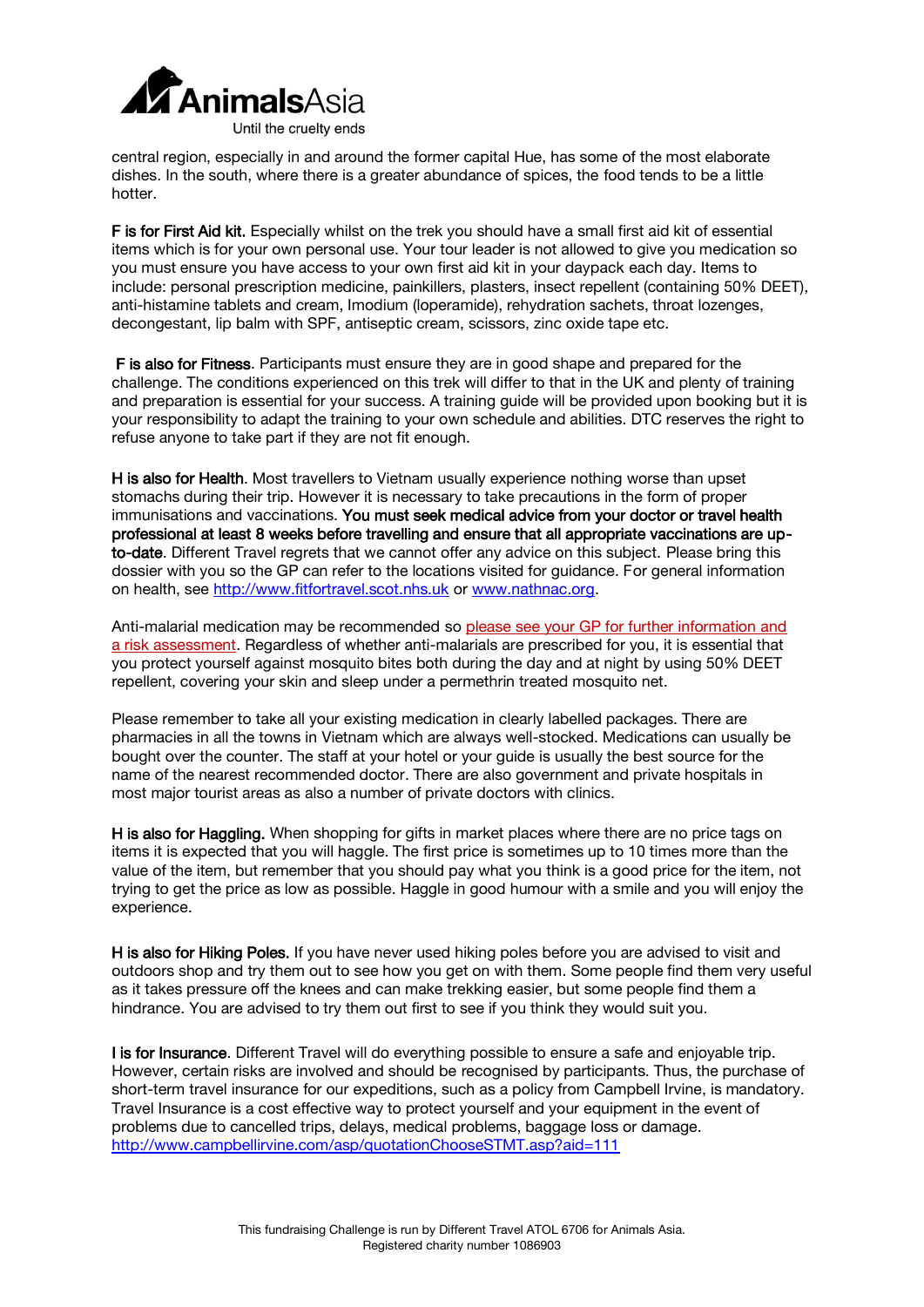

central region, especially in and around the former capital Hue, has some of the most elaborate dishes. In the south, where there is a greater abundance of spices, the food tends to be a little hotter.

F is for First Aid kit. Especially whilst on the trek you should have a small first aid kit of essential items which is for your own personal use. Your tour leader is not allowed to give you medication so you must ensure you have access to your own first aid kit in your daypack each day. Items to include: personal prescription medicine, painkillers, plasters, insect repellent (containing 50% DEET), anti-histamine tablets and cream, Imodium (loperamide), rehydration sachets, throat lozenges, decongestant, lip balm with SPF, antiseptic cream, scissors, zinc oxide tape etc.

 F is also for Fitness. Participants must ensure they are in good shape and prepared for the challenge. The conditions experienced on this trek will differ to that in the UK and plenty of training and preparation is essential for your success. A training guide will be provided upon booking but it is your responsibility to adapt the training to your own schedule and abilities. DTC reserves the right to refuse anyone to take part if they are not fit enough.

H is also for Health. Most travellers to Vietnam usually experience nothing worse than upset stomachs during their trip. However it is necessary to take precautions in the form of proper immunisations and vaccinations. You must seek medical advice from your doctor or travel health professional at least 8 weeks before travelling and ensure that all appropriate vaccinations are upto-date. Different Travel regrets that we cannot offer any advice on this subject. Please bring this dossier with you so the GP can refer to the locations visited for guidance. For general information on health, see [http://www.fitfortravel.scot.nhs.uk](http://www.fitfortravel.scot.nhs.uk/) or [www.nathnac.org.](http://www.nathnac.org/)

Anti-malarial medication may be recommended so please see your GP for further information and a risk assessment. Regardless of whether anti-malarials are prescribed for you, it is essential that you protect yourself against mosquito bites both during the day and at night by using 50% DEET repellent, covering your skin and sleep under a permethrin treated mosquito net.

Please remember to take all your existing medication in clearly labelled packages. There are pharmacies in all the towns in Vietnam which are always well-stocked. Medications can usually be bought over the counter. The staff at your hotel or your guide is usually the best source for the name of the nearest recommended doctor. There are also government and private hospitals in most major tourist areas as also a number of private doctors with clinics.

H is also for Haggling. When shopping for gifts in market places where there are no price tags on items it is expected that you will haggle. The first price is sometimes up to 10 times more than the value of the item, but remember that you should pay what you think is a good price for the item, not trying to get the price as low as possible. Haggle in good humour with a smile and you will enjoy the experience.

H is also for Hiking Poles. If you have never used hiking poles before you are advised to visit and outdoors shop and try them out to see how you get on with them. Some people find them very useful as it takes pressure off the knees and can make trekking easier, but some people find them a hindrance. You are advised to try them out first to see if you think they would suit you.

I is for Insurance. Different Travel will do everything possible to ensure a safe and enjoyable trip. However, certain risks are involved and should be recognised by participants. Thus, the purchase of short-term travel insurance for our expeditions, such as a policy from Campbell Irvine, is mandatory. Travel Insurance is a cost effective way to protect yourself and your equipment in the event of problems due to cancelled trips, delays, medical problems, baggage loss or damage. <http://www.campbellirvine.com/asp/quotationChooseSTMT.asp?aid=111>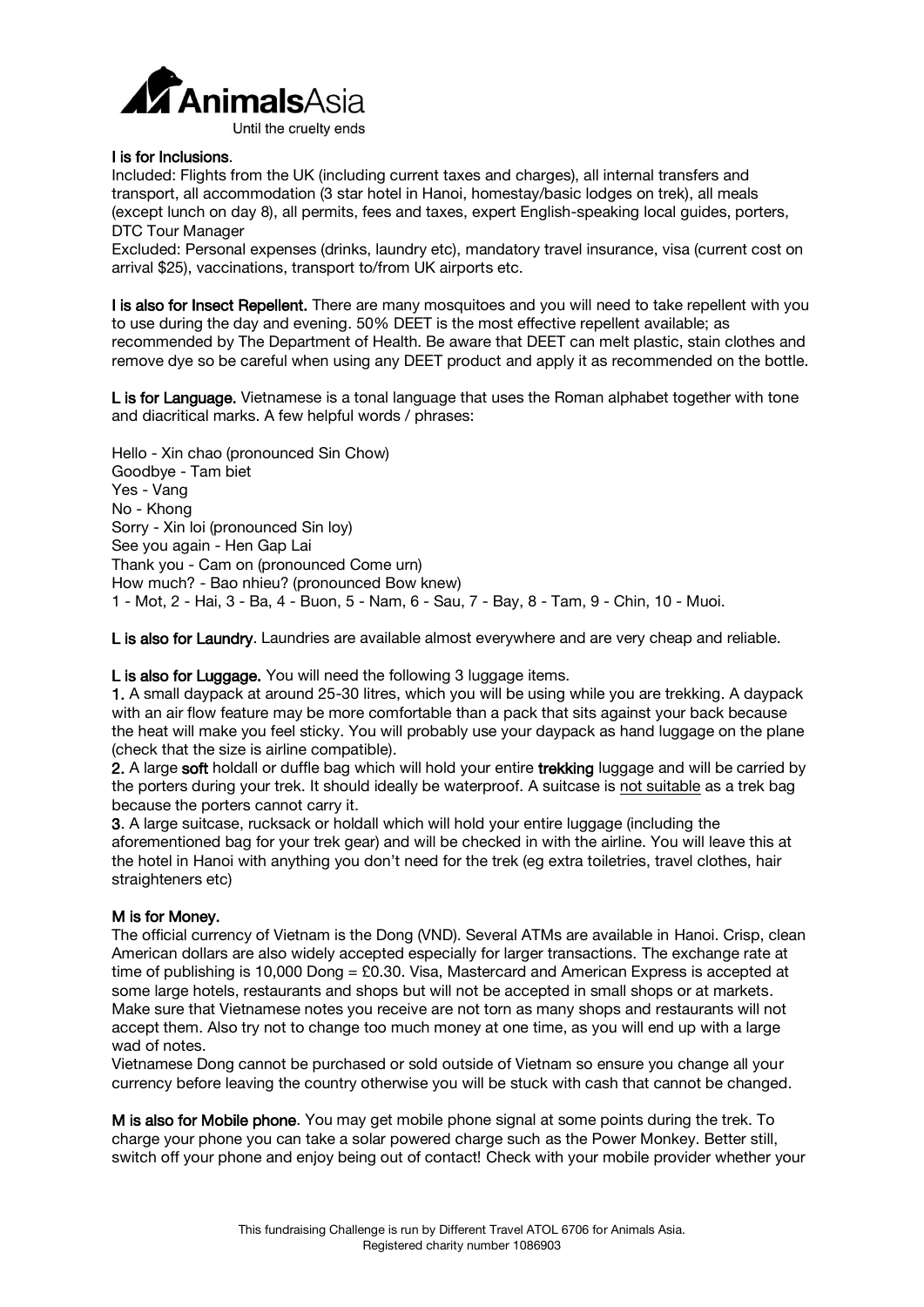

#### I is for Inclusions.

*Included:* Flights from the UK (including current taxes and charges), all internal transfers and transport, all accommodation (3 star hotel in Hanoi, homestay/basic lodges on trek), all meals (except lunch on day 8), all permits, fees and taxes, expert English-speaking local guides, porters, DTC Tour Manager

*Excluded:* Personal expenses (drinks, laundry etc), mandatory travel insurance, visa (current cost on arrival \$25), vaccinations, transport to/from UK airports etc.

I is also for Insect Repellent. There are many mosquitoes and you will need to take repellent with you to use during the day and evening. 50% DEET is the most effective repellent available; as recommended by The Department of Health. Be aware that DEET can melt plastic, stain clothes and remove dye so be careful when using any DEET product and apply it as recommended on the bottle.

L is for Language. Vietnamese is a tonal language that uses the Roman alphabet together with tone and diacritical marks. A few helpful words / phrases:

Hello - Xin chao (pronounced Sin Chow) Goodbye - Tam biet Yes - Vang No - Khong Sorry - Xin loi (pronounced Sin loy) See you again - Hen Gap Lai Thank you - Cam on (pronounced Come urn) How much? - Bao nhieu? (pronounced Bow knew) 1 - Mot, 2 - Hai, 3 - Ba, 4 - Buon, 5 - Nam, 6 - Sau, 7 - Bay, 8 - Tam, 9 - Chin, 10 - Muoi.

L is also for Laundry. Laundries are available almost everywhere and are very cheap and reliable.

L is also for Luggage. You will need the following 3 luggage items.

1. A small daypack at around 25-30 litres, which you will be using while you are trekking. A daypack with an air flow feature may be more comfortable than a pack that sits against your back because the heat will make you feel sticky. You will probably use your daypack as hand luggage on the plane (check that the size is airline compatible).

2. A large soft holdall or duffle bag which will hold your entire trekking luggage and will be carried by the porters during your trek. It should ideally be waterproof. A suitcase is not suitable as a trek bag because the porters cannot carry it.

3. A large suitcase, rucksack or holdall which will hold your entire luggage (including the aforementioned bag for your trek gear) and will be checked in with the airline. You will leave this at the hotel in Hanoi with anything you don't need for the trek (eg extra toiletries, travel clothes, hair straighteners etc)

#### M is for Money.

The official currency of Vietnam is the Dong (VND). Several ATMs are available in Hanoi. Crisp, clean American dollars are also widely accepted especially for larger transactions. The exchange rate at time of publishing is 10,000 Dong = £0.30. Visa, Mastercard and American Express is accepted at some large hotels, restaurants and shops but will not be accepted in small shops or at markets. Make sure that Vietnamese notes you receive are not torn as many shops and restaurants will not accept them. Also try not to change too much money at one time, as you will end up with a large wad of notes.

Vietnamese Dong cannot be purchased or sold outside of Vietnam so ensure you change all your currency before leaving the country otherwise you will be stuck with cash that cannot be changed.

M is also for Mobile phone. You may get mobile phone signal at some points during the trek. To charge your phone you can take a solar powered charge such as the Power Monkey. Better still, switch off your phone and enjoy being out of contact! Check with your mobile provider whether your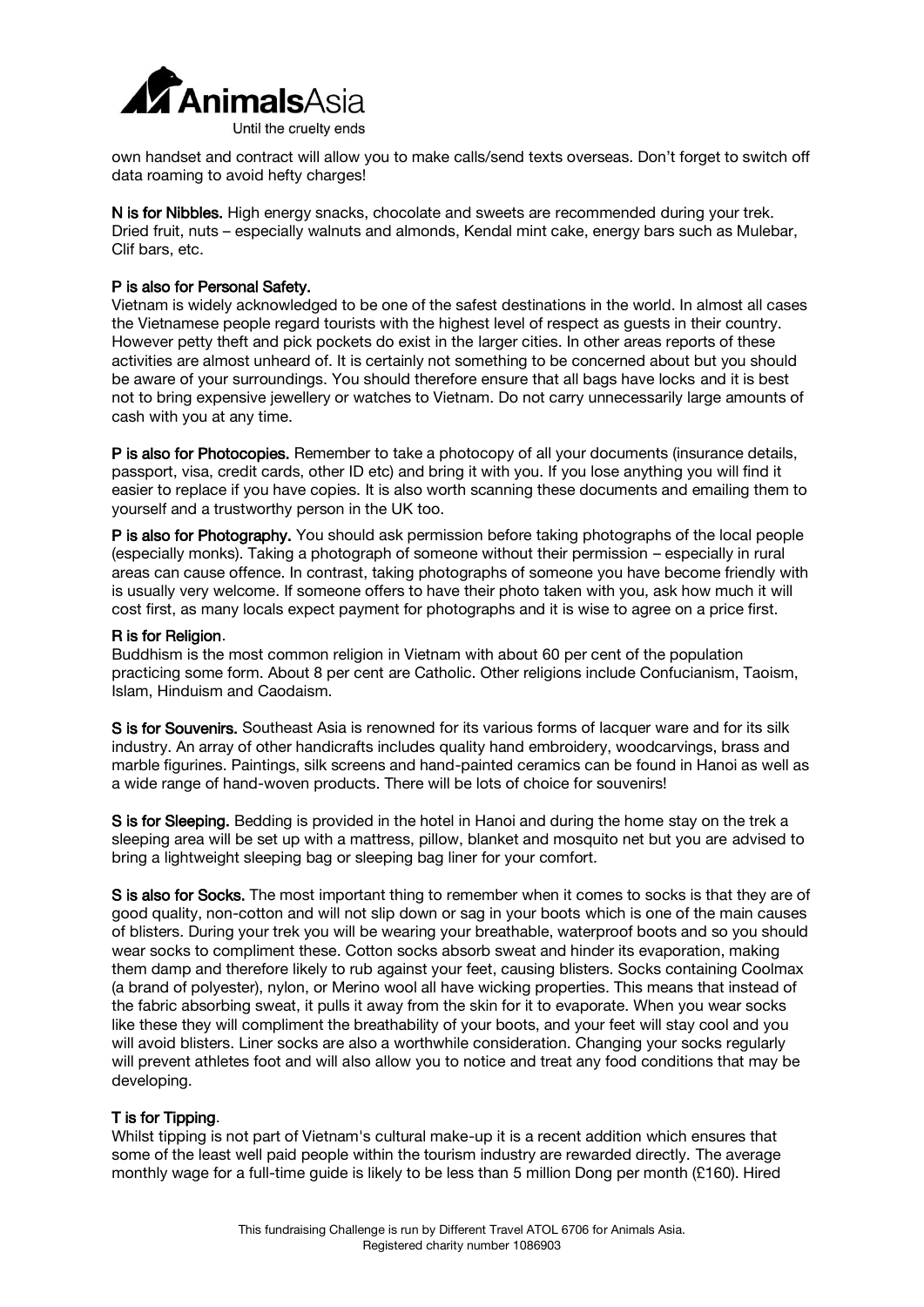

own handset and contract will allow you to make calls/send texts overseas. Don't forget to switch off data roaming to avoid hefty charges!

N is for Nibbles. High energy snacks, chocolate and sweets are recommended during your trek. Dried fruit, nuts – especially walnuts and almonds, Kendal mint cake, energy bars such as Mulebar, Clif bars, etc.

#### P is also for Personal Safety.

Vietnam is widely acknowledged to be one of the safest destinations in the world. In almost all cases the Vietnamese people regard tourists with the highest level of respect as guests in their country. However petty theft and pick pockets do exist in the larger cities. In other areas reports of these activities are almost unheard of. It is certainly not something to be concerned about but you should be aware of your surroundings. You should therefore ensure that all bags have locks and it is best not to bring expensive jewellery or watches to Vietnam. Do not carry unnecessarily large amounts of cash with you at any time.

P is also for Photocopies. Remember to take a photocopy of all your documents (insurance details, passport, visa, credit cards, other ID etc) and bring it with you. If you lose anything you will find it easier to replace if you have copies. It is also worth scanning these documents and emailing them to yourself and a trustworthy person in the UK too.

P is also for Photography. You should ask permission before taking photographs of the local people (especially monks). Taking a photograph of someone without their permission – especially in rural areas can cause offence. In contrast, taking photographs of someone you have become friendly with is usually very welcome. If someone offers to have their photo taken with you, ask how much it will cost first, as many locals expect payment for photographs and it is wise to agree on a price first.

#### R is for Religion.

Buddhism is the most common religion in Vietnam with about 60 per cent of the population practicing some form. About 8 per cent are Catholic. Other religions include Confucianism, Taoism, Islam, Hinduism and Caodaism.

S is for Souvenirs. Southeast Asia is renowned for its various forms of lacquer ware and for its silk industry. An array of other handicrafts includes quality hand embroidery, woodcarvings, brass and marble figurines. Paintings, silk screens and hand-painted ceramics can be found in Hanoi as well as a wide range of hand-woven products. There will be lots of choice for souvenirs!

S is for Sleeping. Bedding is provided in the hotel in Hanoi and during the home stay on the trek a sleeping area will be set up with a mattress, pillow, blanket and mosquito net but you are advised to bring a lightweight sleeping bag or sleeping bag liner for your comfort.

S is also for Socks. The most important thing to remember when it comes to socks is that they are of good quality, non-cotton and will not slip down or sag in your boots which is one of the main causes of blisters. During your trek you will be wearing your breathable, waterproof boots and so you should wear socks to compliment these. Cotton socks absorb sweat and hinder its evaporation, making them damp and therefore likely to rub against your feet, causing blisters. Socks containing Coolmax (a brand of polyester), nylon, or Merino wool all have wicking properties. This means that instead of the fabric absorbing sweat, it pulls it away from the skin for it to evaporate. When you wear socks like these they will compliment the breathability of your boots, and your feet will stay cool and you will avoid blisters. Liner socks are also a worthwhile consideration. Changing your socks regularly will prevent athletes foot and will also allow you to notice and treat any food conditions that may be developing.

#### T is for Tipping.

Whilst tipping is not part of Vietnam's cultural make-up it is a recent addition which ensures that some of the least well paid people within the tourism industry are rewarded directly. The average monthly wage for a full-time guide is likely to be less than 5 million Dong per month (£160). Hired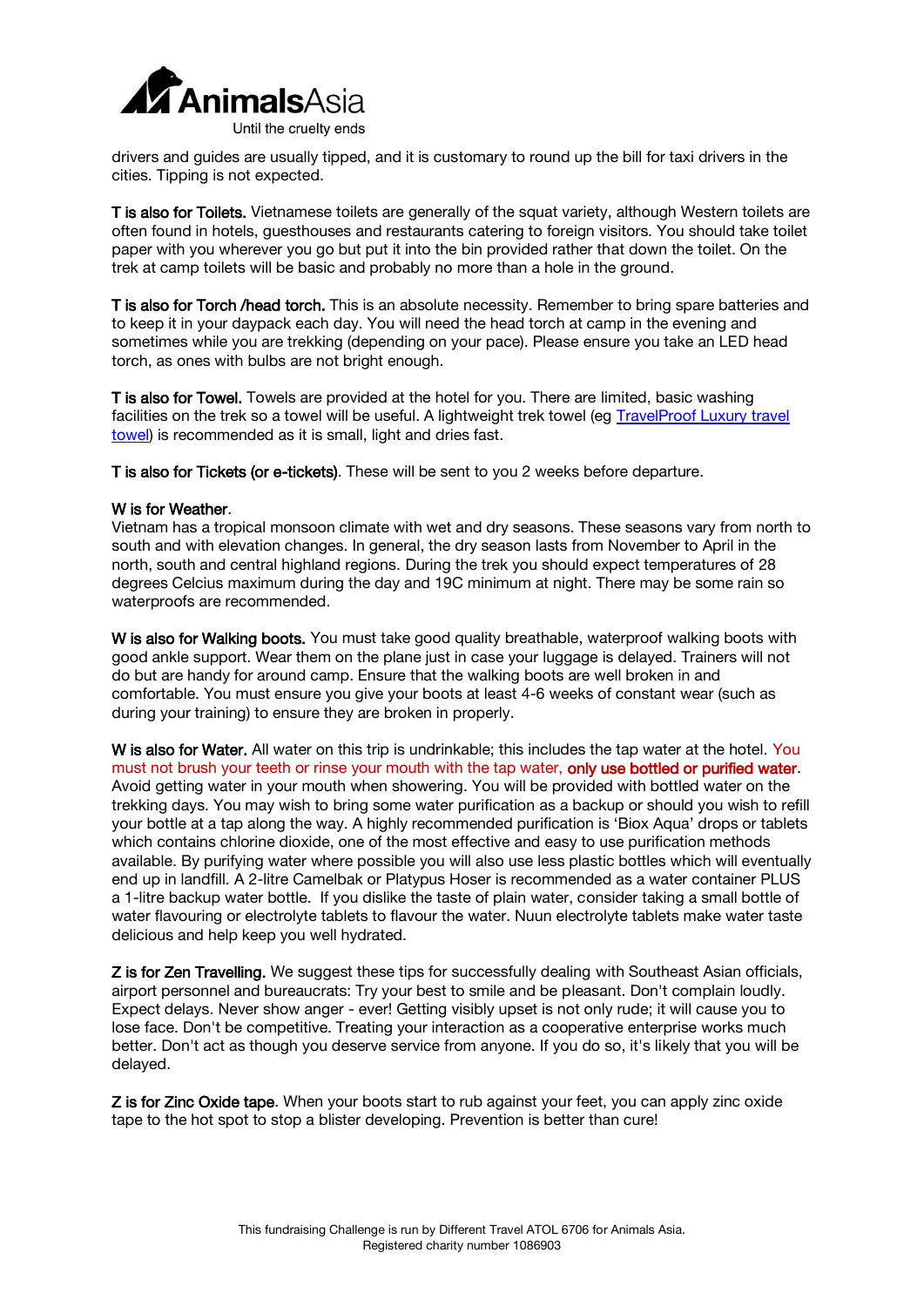

drivers and guides are usually tipped, and it is customary to round up the bill for taxi drivers in the cities. Tipping is not expected.

T is also for Toilets. Vietnamese toilets are generally of the squat variety, although Western toilets are often found in hotels, guesthouses and restaurants catering to foreign visitors. You should take toilet paper with you wherever you go but put it into the bin provided rather that down the toilet. On the trek at camp toilets will be basic and probably no more than a hole in the ground.

T is also for Torch /head torch. This is an absolute necessity. Remember to bring spare batteries and to keep it in your daypack each day. You will need the head torch at camp in the evening and sometimes while you are trekking (depending on your pace). Please ensure you take an LED head torch, as ones with bulbs are not bright enough.

T is also for Towel. Towels are provided at the hotel for you. There are limited, basic washing facilities on the trek so a towel will be useful. A lightweight trek towel (eg TravelProof Luxury travel [towel\)](http://www.nomadtravel.co.uk/catalog/view/travelproof-luxury-travel-towel-xlarge) is recommended as it is small, light and dries fast.

T is also for Tickets (or e-tickets). These will be sent to you 2 weeks before departure.

#### W is for Weather.

Vietnam has a tropical monsoon climate with wet and dry seasons. These seasons vary from north to south and with elevation changes. In general, the dry season lasts from November to April in the north, south and central highland regions. During the trek you should expect temperatures of 28 degrees Celcius maximum during the day and 19C minimum at night. There may be some rain so waterproofs are recommended.

W is also for Walking boots. You must take good quality breathable, waterproof walking boots with good ankle support. Wear them on the plane just in case your luggage is delayed. Trainers will not do but are handy for around camp. Ensure that the walking boots are well broken in and comfortable. You must ensure you give your boots at least 4-6 weeks of constant wear (such as during your training) to ensure they are broken in properly.

W is also for Water. All water on this trip is undrinkable; this includes the tap water at the hotel. You must not brush your teeth or rinse your mouth with the tap water, only use bottled or purified water. Avoid getting water in your mouth when showering. You will be provided with bottled water on the trekking days. You may wish to bring some water purification as a backup or should you wish to refill your bottle at a tap along the way. A highly recommended purification is 'Biox Aqua' drops or tablets which contains chlorine dioxide, one of the most effective and easy to use purification methods available. By purifying water where possible you will also use less plastic bottles which will eventually end up in landfill. A 2-litre Camelbak or Platypus Hoser is recommended as a water container PLUS a 1-litre backup water bottle. If you dislike the taste of plain water, consider taking a small bottle of water flavouring or electrolyte tablets to flavour the water. Nuun electrolyte tablets make water taste delicious and help keep you well hydrated.

Z is for Zen Travelling. We suggest these tips for successfully dealing with Southeast Asian officials, airport personnel and bureaucrats: Try your best to smile and be pleasant. Don't complain loudly. Expect delays. Never show anger - ever! Getting visibly upset is not only rude; it will cause you to lose face. Don't be competitive. Treating your interaction as a cooperative enterprise works much better. Don't act as though you deserve service from anyone. If you do so, it's likely that you will be delayed.

Z is for Zinc Oxide tape. When your boots start to rub against your feet, you can apply zinc oxide tape to the hot spot to stop a blister developing. Prevention is better than cure!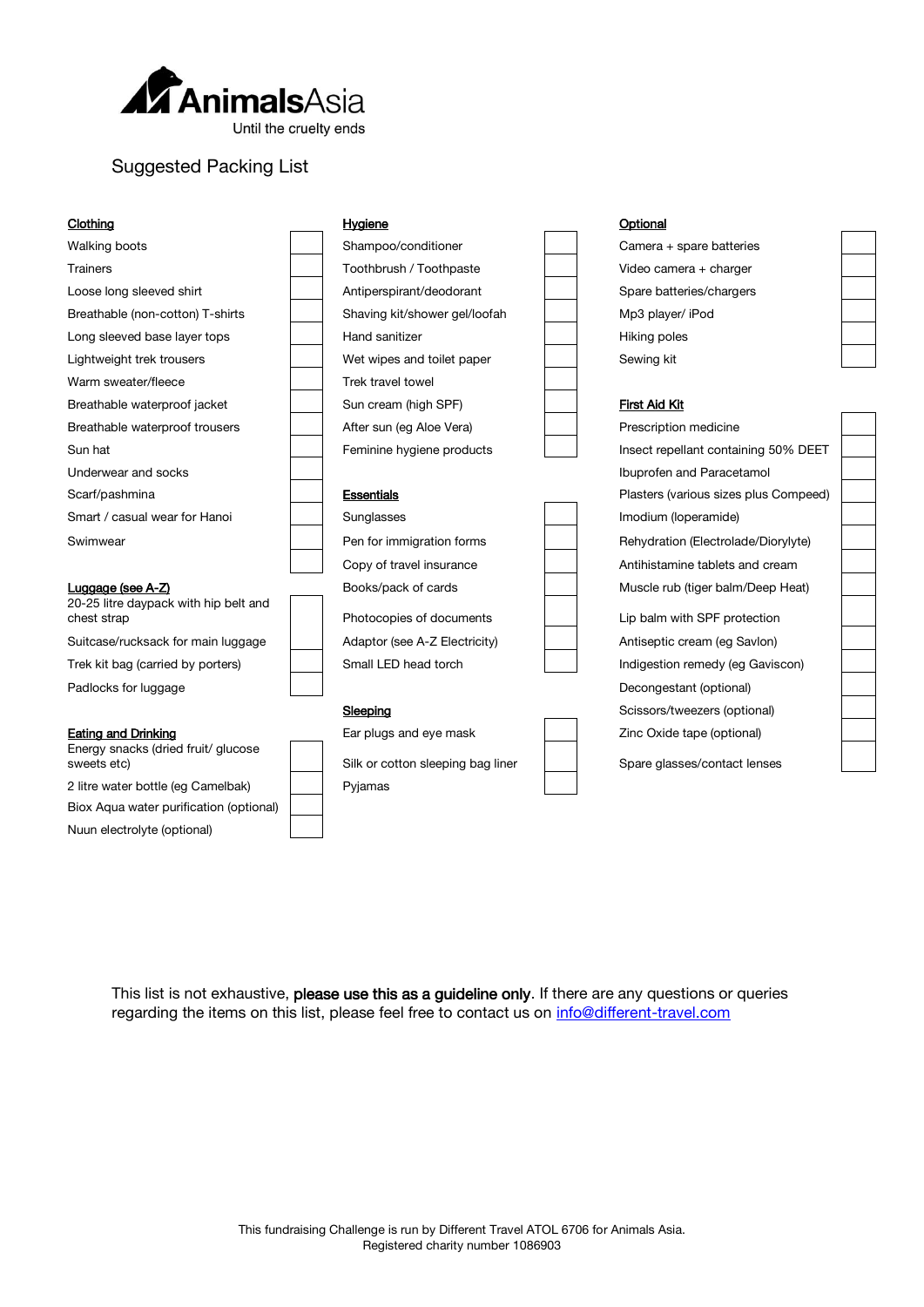

# Suggested Packing List

*Nuun electrolyte (optional)*

| Clothing                                             | Hygiene                           | Optional                              |  |
|------------------------------------------------------|-----------------------------------|---------------------------------------|--|
| Walking boots                                        | Shampoo/conditioner               | Camera + spare batteries              |  |
| <b>Trainers</b>                                      | Toothbrush / Toothpaste           | Video camera + charger                |  |
| Loose long sleeved shirt                             | Antiperspirant/deodorant          | Spare batteries/chargers              |  |
| Breathable (non-cotton) T-shirts                     | Shaving kit/shower gel/loofah     | Mp3 player/ iPod                      |  |
| Long sleeved base layer tops                         | Hand sanitizer                    | Hiking poles                          |  |
| Lightweight trek trousers                            | Wet wipes and toilet paper        | Sewing kit                            |  |
| Warm sweater/fleece                                  | Trek travel towel                 |                                       |  |
| Breathable waterproof jacket                         | Sun cream (high SPF)              | First Aid Kit                         |  |
| Breathable waterproof trousers                       | After sun (eg Aloe Vera)          | Prescription medicine                 |  |
| Sun hat                                              | Feminine hygiene products         | Insect repellant containing 50% DEET  |  |
| Underwear and socks                                  |                                   | Ibuprofen and Paracetamol             |  |
| Scarf/pashmina                                       | <b>Essentials</b>                 | Plasters (various sizes plus Compeed) |  |
|                                                      |                                   |                                       |  |
| Smart / casual wear for Hanoi                        | Sunglasses                        | Imodium (loperamide)                  |  |
| Swimwear                                             | Pen for immigration forms         | Rehydration (Electrolade/Diorylyte)   |  |
|                                                      | Copy of travel insurance          | Antihistamine tablets and cream       |  |
| Luggage (see A-Z)                                    | Books/pack of cards               | Muscle rub (tiger balm/Deep Heat)     |  |
| 20-25 litre daypack with hip belt and<br>chest strap | Photocopies of documents          | Lip balm with SPF protection          |  |
| Suitcase/rucksack for main luggage                   | Adaptor (see A-Z Electricity)     | Antiseptic cream (eg Savlon)          |  |
| Trek kit bag (carried by porters)                    | Small LED head torch              | Indigestion remedy (eg Gaviscon)      |  |
| Padlocks for luggage                                 |                                   | Decongestant (optional)               |  |
|                                                      | Sleeping                          | Scissors/tweezers (optional)          |  |
| <b>Eating and Drinking</b>                           | Ear plugs and eye mask            | Zinc Oxide tape (optional)            |  |
| Energy snacks (dried fruit/ glucose<br>sweets etc)   | Silk or cotton sleeping bag liner | Spare glasses/contact lenses          |  |
| 2 litre water bottle (eg Camelbak)                   | Pyjamas                           |                                       |  |
| Biox Aqua water purification (optional)              |                                   |                                       |  |

This list is not exhaustive, please use this as a guideline only. If there are any questions or queries

regarding the items on this list, please feel free to contact us on [info@different-travel.com](mailto:info@different-travel.com)